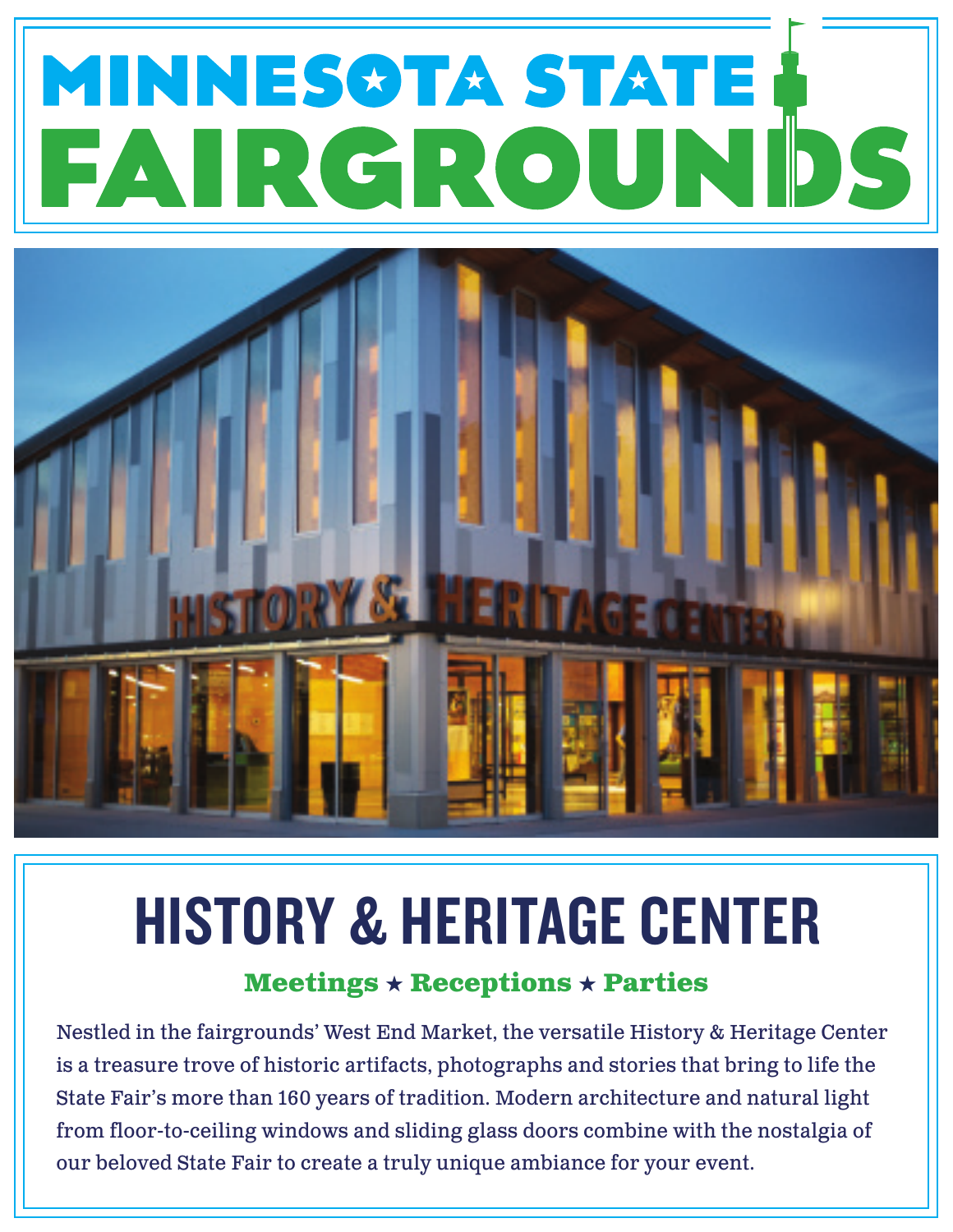# MINNESOTA STATE AND



# HISTORY & HERITAGE CENTER

### **Meetings**  $\star$  **Receptions**  $\star$  **Parties**

Nestled in the fairgrounds' West End Market, the versatile History & Heritage Center is a treasure trove of historic artifacts, photographs and stories that bring to life the State Fair's more than 160 years of tradition. Modern architecture and natural light from floor-to-ceiling windows and sliding glass doors combine with the nostalgia of our beloved State Fair to create a truly unique ambiance for your event.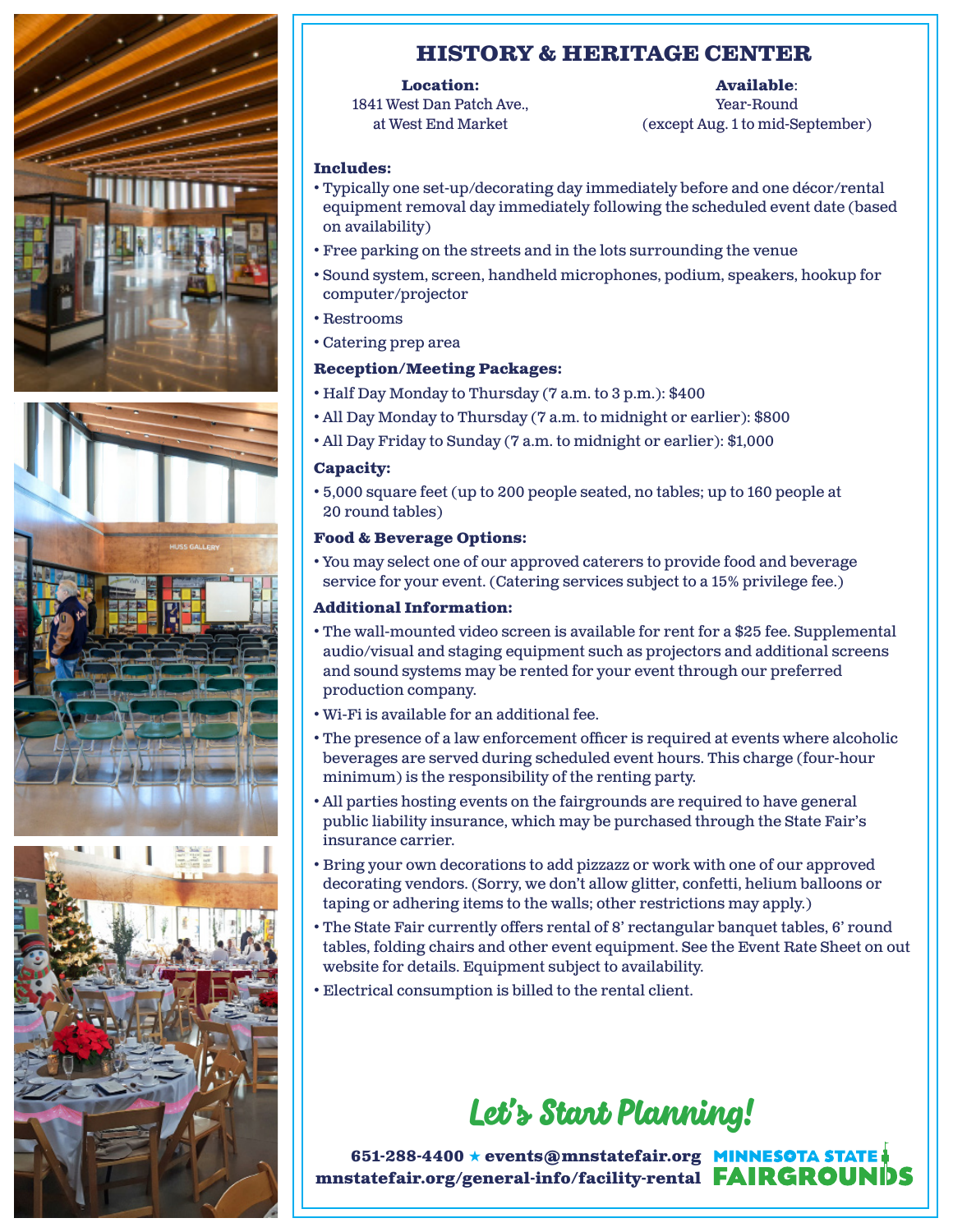





#### **HISTORY & HERITAGE CENTER**

#### **Location:**

1841 West Dan Patch Ave., at West End Market

#### **Available**:

Year-Round (except Aug. 1 to mid-September)

#### **Includes:**

- Typically one set-up/decorating day immediately before and one décor/rental equipment removal day immediately following the scheduled event date (based on availability)
- Free parking on the streets and in the lots surrounding the venue
- Sound system, screen, handheld microphones, podium, speakers, hookup for computer/projector
- Restrooms
- Catering prep area

#### **Reception/Meeting Packages:**

- Half Day Monday to Thursday (7 a.m. to 3 p.m.): \$400
- All Day Monday to Thursday (7 a.m. to midnight or earlier): \$800
- All Day Friday to Sunday (7 a.m. to midnight or earlier): \$1,000

#### **Capacity:**

• 5,000 square feet (up to 200 people seated, no tables; up to 160 people at 20 round tables)

#### **Food & Beverage Options:**

• You may select one of our approved caterers to provide food and beverage service for your event. (Catering services subject to a 15% privilege fee.)

#### **Additional Information:**

- The wall-mounted video screen is available for rent for a \$25 fee. Supplemental audio/visual and staging equipment such as projectors and additional screens and sound systems may be rented for your event through our preferred production company.
- Wi-Fi is available for an additional fee.
- The presence of a law enforcement officer is required at events where alcoholic beverages are served during scheduled event hours. This charge (four-hour minimum) is the responsibility of the renting party.
- All parties hosting events on the fairgrounds are required to have general public liability insurance, which may be purchased through the State Fair's insurance carrier.
- Bring your own decorations to add pizzazz or work with one of our approved decorating vendors. (Sorry, we don't allow glitter, confetti, helium balloons or taping or adhering items to the walls; other restrictions may apply.)
- The State Fair currently offers rental of 8' rectangular banquet tables, 6' round tables, folding chairs and other event equipment. See the Event Rate Sheet on out website for details. Equipment subject to availability.
- Electrical consumption is billed to the rental client.

## Let's Start Planning!

**651-288-4400 \* events@mnstatefair.org MINNESOTA STATE mnstatefair.org/general-info/facility-rental**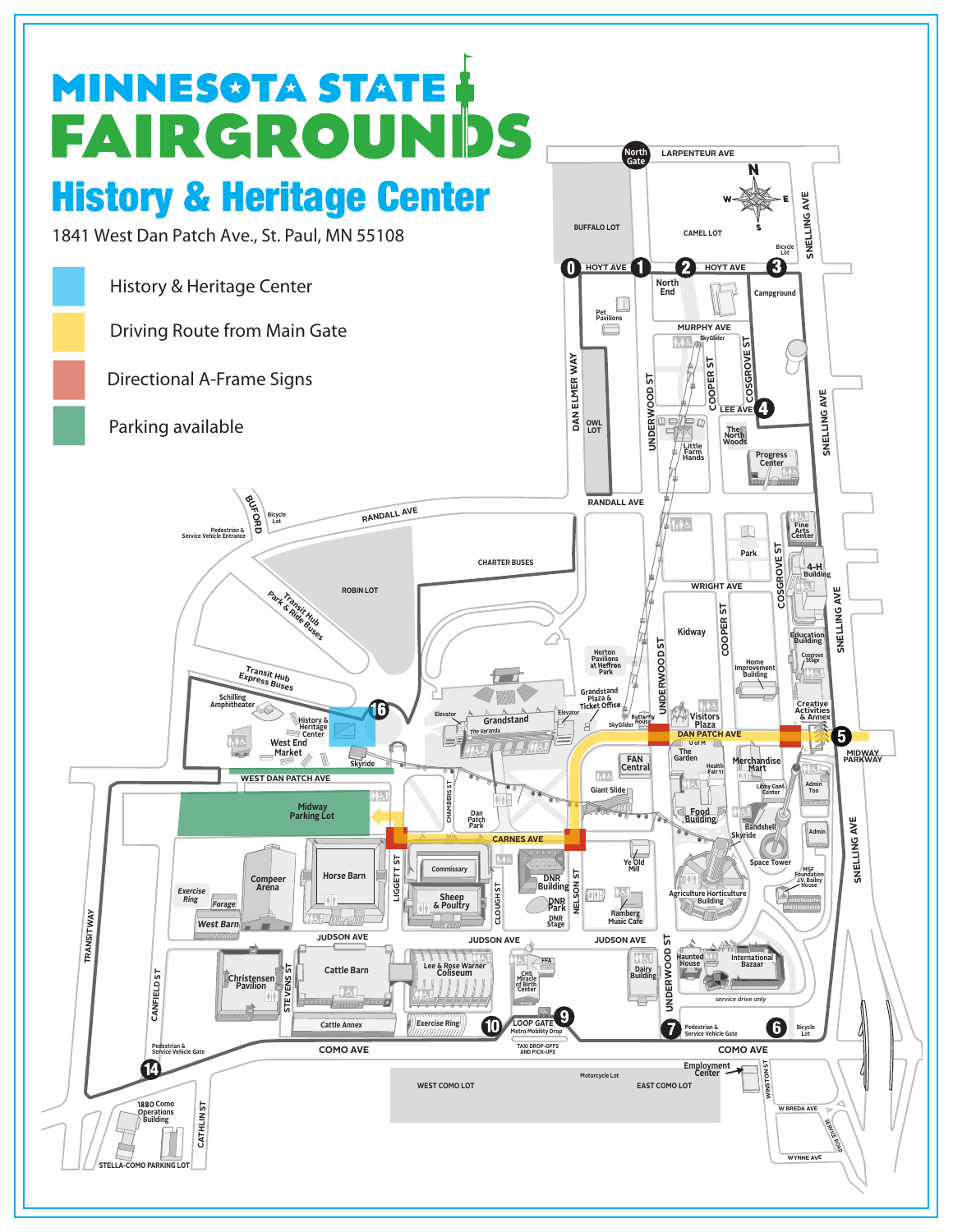